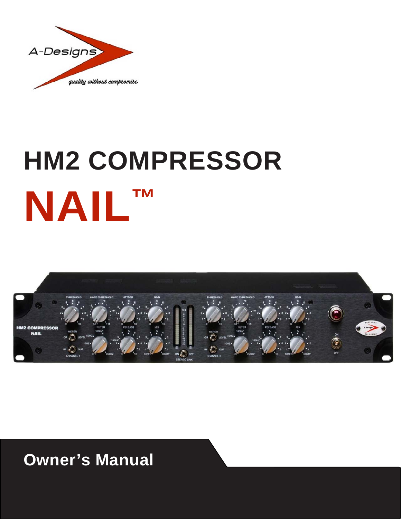

# **HM2 COMPRESSOR NAIL™**



**Owner's Manual**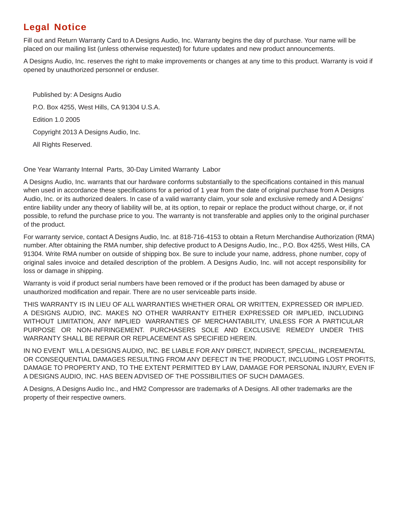#### **Legal Notice**

Fill out and Return Warranty Card to A Designs Audio, Inc. Warranty begins the day of purchase. Your name will be placed on our mailing list (unless otherwise requested) for future updates and new product announcements.

A Designs Audio, Inc. reserves the right to make improvements or changes at any time to this product. Warranty is void if opened by unauthorized personnel or enduser.

Published by: A Designs Audio P.O. Box 4255, West Hills, CA 91304 U.S.A. Edition 1.0 2005 Copyright 2013 A Designs Audio, Inc. All Rights Reserved.

One Year Warranty Internal Parts, 30-Day Limited Warranty Labor

A Designs Audio, Inc. warrants that our hardware conforms substantially to the specifications contained in this manual when used in accordance these specifications for a period of 1 year from the date of original purchase from A Designs Audio, Inc. or its authorized dealers. In case of a valid warranty claim, your sole and exclusive remedy and A Designs' entire liability under any theory of liability will be, at its option, to repair or replace the product without charge, or, if not possible, to refund the purchase price to you. The warranty is not transferable and applies only to the original purchaser of the product.

For warranty service, contact A Designs Audio, Inc. at 818-716-4153 to obtain a Return Merchandise Authorization (RMA) number. After obtaining the RMA number, ship defective product to A Designs Audio, Inc., P.O. Box 4255, West Hills, CA 91304. Write RMA number on outside of shipping box. Be sure to include your name, address, phone number, copy of original sales invoice and detailed description of the problem. A Designs Audio, Inc. will not accept responsibility for loss or damage in shipping.

Warranty is void if product serial numbers have been removed or if the product has been damaged by abuse or unauthorized modification and repair. There are no user serviceable parts inside.

THIS WARRANTY IS IN LIEU OF ALL WARRANTIES WHETHER ORAL OR WRITTEN, EXPRESSED OR IMPLIED. A DESIGNS AUDIO, INC. MAKES NO OTHER WARRANTY EITHER EXPRESSED OR IMPLIED, INCLUDING WITHOUT LIMITATION, ANY IMPLIED WARRANTIES OF MERCHANTABILITY, UNLESS FOR A PARTICULAR PURPOSE OR NON-INFRINGEMENT. PURCHASERS SOLE AND EXCLUSIVE REMEDY UNDER THIS WARRANTY SHALL BE REPAIR OR REPLACEMENT AS SPECIFIED HEREIN.

IN NO EVENT WILL A DESIGNS AUDIO, INC. BE LIABLE FOR ANY DIRECT, INDIRECT, SPECIAL, INCREMENTAL OR CONSEQUENTIAL DAMAGES RESULTING FROM ANY DEFECT IN THE PRODUCT, INCLUDING LOST PROFITS, DAMAGE TO PROPERTY AND, TO THE EXTENT PERMITTED BY LAW, DAMAGE FOR PERSONAL INJURY, EVEN IF A DESIGNS AUDIO, INC. HAS BEEN ADVISED OF THE POSSIBILITIES OF SUCH DAMAGES.

A Designs, A Designs Audio Inc., and HM2 Compressor are trademarks of A Designs. All other trademarks are the property of their respective owners.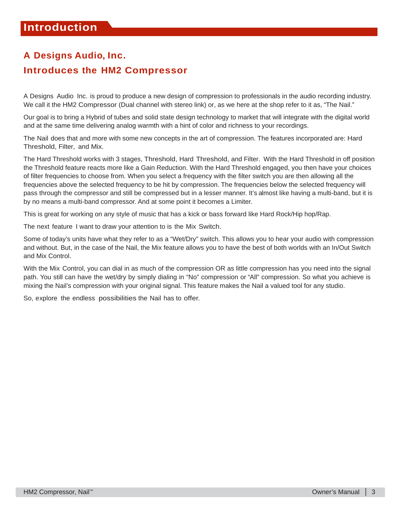## **A Designs Audio, Inc.**

#### **Introduces the HM2 Compressor**

A Designs Audio Inc. is proud to produce a new design of compression to professionals in the audio recording industry. We call it the HM2 Compressor (Dual channel with stereo link) or, as we here at the shop refer to it as, "The Nail."

Our goal is to bring a Hybrid of tubes and solid state design technology to market that will integrate with the digital world and at the same time delivering analog warmth with a hint of color and richness to your recordings.

The Nail does that and more with some new concepts in the art of compression. The features incorporated are: Hard Threshold, Filter, and Mix.

The Hard Threshold works with 3 stages, Threshold, Hard Threshold, and Filter. With the Hard Threshold in off position the Threshold feature reacts more like a Gain Reduction. With the Hard Threshold engaged, you then have your choices of filter frequencies to choose from. When you select a frequency with the filter switch you are then allowing all the frequencies above the selected frequency to be hit by compression. The frequencies below the selected frequency will pass through the compressor and still be compressed but in a lesser manner. It's almost like having a multi-band, but it is by no means a multi-band compressor. And at some point it becomes a Limiter.

This is great for working on any style of music that has a kick or bass forward like Hard Rock/Hip hop/Rap.

The next feature I want to draw your attention to is the Mix Switch.

Some of today's units have what they refer to as a "Wet/Dry" switch. This allows you to hear your audio with compression and without. But, in the case of the Nail, the Mix feature allows you to have the best of both worlds with an In/Out Switch and Mix Control.

With the Mix Control, you can dial in as much of the compression OR as little compression has you need into the signal path. You still can have the wet/dry by simply dialing in "No" compression or "All" compression. So what you achieve is mixing the Nail's compression with your original signal. This feature makes the Nail a valued tool for any studio.

So, explore the endless possibilities the Nail has to offer.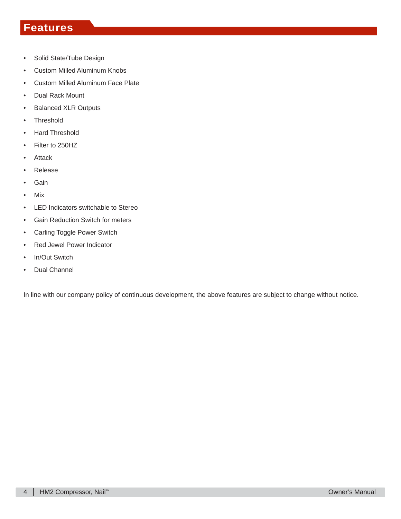#### **Features**

- Solid State/Tube Design
- Custom Milled Aluminum Knobs
- Custom Milled Aluminum Face Plate
- Dual Rack Mount
- Balanced XLR Outputs
- Threshold
- Hard Threshold
- Filter to 250HZ
- Attack
- Release
- Gain
- Mix
- LED Indicators switchable to Stereo
- Gain Reduction Switch for meters
- Carling Toggle Power Switch
- Red Jewel Power Indicator
- In/Out Switch
- Dual Channel

In line with our company policy of continuous development, the above features are subject to change without notice.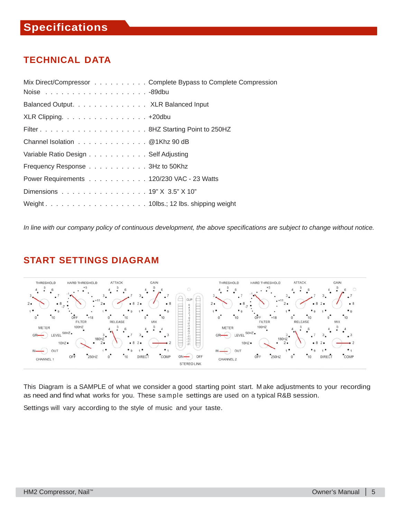#### **TECHNICAL DATA**

| Mix Direct/Compressor Complete Bypass to Complete Compression |
|---------------------------------------------------------------|
| Balanced Output. XLR Balanced Input                           |
| XLR Clipping. 420dbu                                          |
|                                                               |
| Channel Isolation @ 1Khz 90 dB                                |
| Variable Ratio Design Self Adjusting                          |
| Frequency Response 3Hz to 50Khz                               |
| Power Requirements 120/230 VAC - 23 Watts                     |
| Dimensions 19" X 3.5" X 10"                                   |
|                                                               |

*In line with our company policy of continuous development, the above specifications are subject to change without notice.*

#### **START SETTINGS DIAGRAM**



This Diagram is a SAMPLE of what we consider a good starting point start. M ake adjustments to your recording as need and find what works for you. These sample settings are used on a typical R&B session.

Settings will vary according to the style of music and your taste.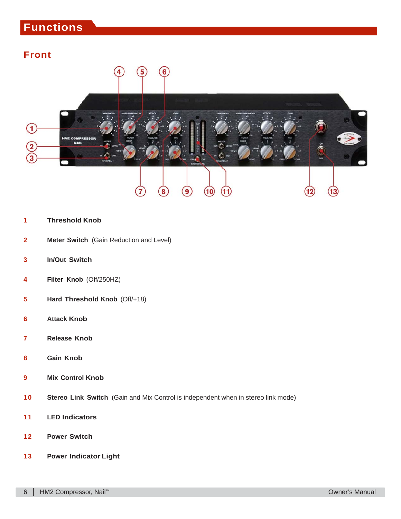### **Functions**

#### **Front**



#### **Threshold Knob**

- **Meter Switch** (Gain Reduction and Level)
- **In/Out Switch**
- **Filter Knob** (Off/250HZ)
- **Hard Threshold Knob** (Off/+18)
- **Attack Knob**
- **Release Knob**
- **Gain Knob**
- **Mix Control Knob**
- **Stereo Link Switch** (Gain and Mix Control is independent when in stereo link mode)
- **LED Indicators**
- **Power Switch**
- **Power Indicator Light**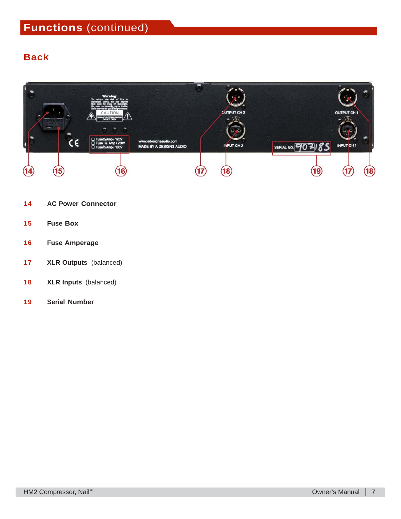#### **Back**



- **AC Power Connector**
- **Fuse Box**
- **Fuse Amperage**
- **XLR Outputs** (balanced)
- **XLR Inputs** (balanced)
- **Serial Number**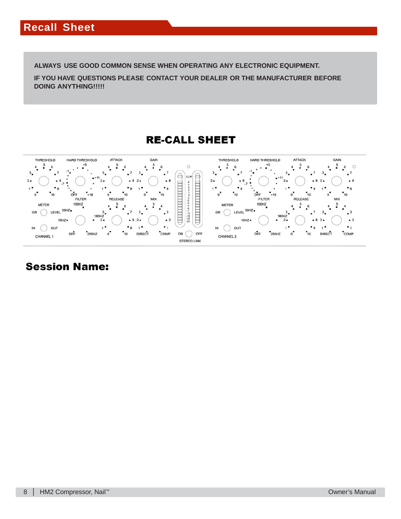**ALWAYS USE GOOD COMMON SENSE WHEN OPERATING ANY ELECTRONIC EQUIPMENT.**

**IF YOU HAVE QUESTIONS PLEASE CONTACT YOUR DEALER OR THE MANUFACTURER BEFORE DOING ANYTHING!!!!!**

**RE-CALL SHEET** 



#### **Session Name:**